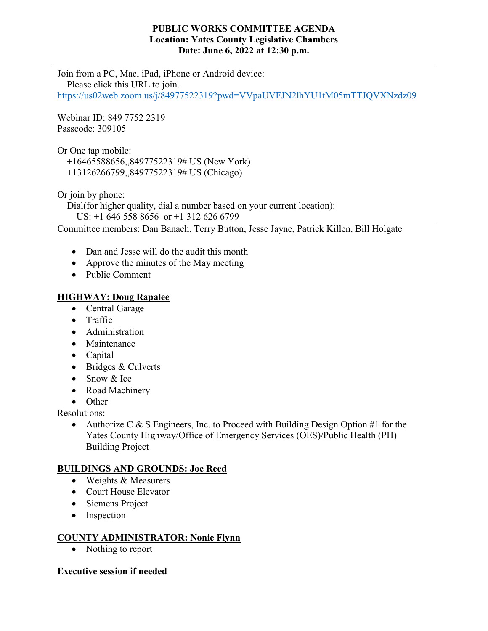#### **PUBLIC WORKS COMMITTEE AGENDA Location: Yates County Legislative Chambers Date: June 6, 2022 at 12:30 p.m.**

Join from a PC, Mac, iPad, iPhone or Android device: Please click this URL to join. <https://us02web.zoom.us/j/84977522319?pwd=VVpaUVFJN2lhYU1tM05mTTJQVXNzdz09>

Webinar ID: 849 7752 2319 Passcode: 309105

Or One tap mobile:

 +16465588656,,84977522319# US (New York) +13126266799,,84977522319# US (Chicago)

Or join by phone:

Dial(for higher quality, dial a number based on your current location):

US: +1 646 558 8656 or +1 312 626 6799

Committee members: Dan Banach, Terry Button, Jesse Jayne, Patrick Killen, Bill Holgate

- Dan and Jesse will do the audit this month
- Approve the minutes of the May meeting
- Public Comment

# **HIGHWAY: Doug Rapalee**

- Central Garage
- Traffic
- Administration
- Maintenance
- Capital
- Bridges & Culverts
- Snow & Ice
- Road Machinery
- Other

Resolutions:

• Authorize C & S Engineers, Inc. to Proceed with Building Design Option #1 for the Yates County Highway/Office of Emergency Services (OES)/Public Health (PH) Building Project

# **BUILDINGS AND GROUNDS: Joe Reed**

- Weights & Measurers
- Court House Elevator
- Siemens Project
- Inspection

#### **COUNTY ADMINISTRATOR: Nonie Flynn**

• Nothing to report

# **Executive session if needed**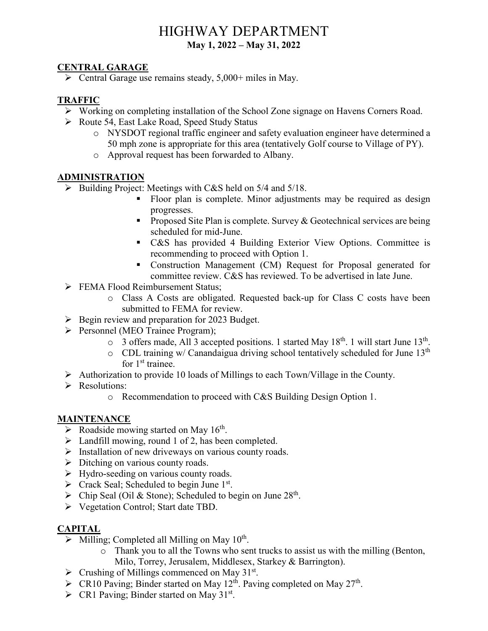# HIGHWAY DEPARTMENT **May 1, 2022 – May 31, 2022**

#### **CENTRAL GARAGE**

 $\triangleright$  Central Garage use remains steady, 5,000+ miles in May.

# **TRAFFIC**

- Working on completing installation of the School Zone signage on Havens Corners Road.
- Route 54, East Lake Road, Speed Study Status
	- o NYSDOT regional traffic engineer and safety evaluation engineer have determined a 50 mph zone is appropriate for this area (tentatively Golf course to Village of PY).
	- o Approval request has been forwarded to Albany.

# **ADMINISTRATION**

- $\triangleright$  Building Project: Meetings with C&S held on 5/4 and 5/18.
	- Floor plan is complete. Minor adjustments may be required as design progresses.
	- **Proposed Site Plan is complete. Survey & Geotechnical services are being** scheduled for mid-June.
	- C&S has provided 4 Building Exterior View Options. Committee is recommending to proceed with Option 1.
	- Construction Management (CM) Request for Proposal generated for committee review. C&S has reviewed. To be advertised in late June.
- **FEMA Flood Reimbursement Status;** 
	- o Class A Costs are obligated. Requested back-up for Class C costs have been submitted to FEMA for review.
- $\triangleright$  Begin review and preparation for 2023 Budget.
- Personnel (MEO Trainee Program);
	- $\circ$  3 offers made, All 3 accepted positions. 1 started May 18<sup>th</sup>. 1 will start June 13<sup>th</sup>.
	- $\circ$  CDL training w/ Canandaigua driving school tentatively scheduled for June 13<sup>th</sup> for 1<sup>st</sup> trainee.
- Authorization to provide 10 loads of Millings to each Town/Village in the County.
- P Resolutions:
	- o Recommendation to proceed with C&S Building Design Option 1.

# **MAINTENANCE**

- $\triangleright$  Roadside mowing started on May 16<sup>th</sup>.
- $\triangleright$  Landfill mowing, round 1 of 2, has been completed.
- $\triangleright$  Installation of new driveways on various county roads.
- $\triangleright$  Ditching on various county roads.
- Hydro-seeding on various county roads.
- $\triangleright$  Crack Seal; Scheduled to begin June 1st.
- $\triangleright$  Chip Seal (Oil & Stone); Scheduled to begin on June 28<sup>th</sup>.
- Vegetation Control; Start date TBD.

# **CAPITAL**

- $\triangleright$  Milling; Completed all Milling on May 10<sup>th</sup>.
	- o Thank you to all the Towns who sent trucks to assist us with the milling (Benton, Milo, Torrey, Jerusalem, Middlesex, Starkey & Barrington).
- $\triangleright$  Crushing of Millings commenced on May 31<sup>st</sup>.
- $\triangleright$  CR10 Paving; Binder started on May 12<sup>th</sup>. Paving completed on May 27<sup>th</sup>.
- $\triangleright$  CR1 Paving; Binder started on May 31<sup>st</sup>.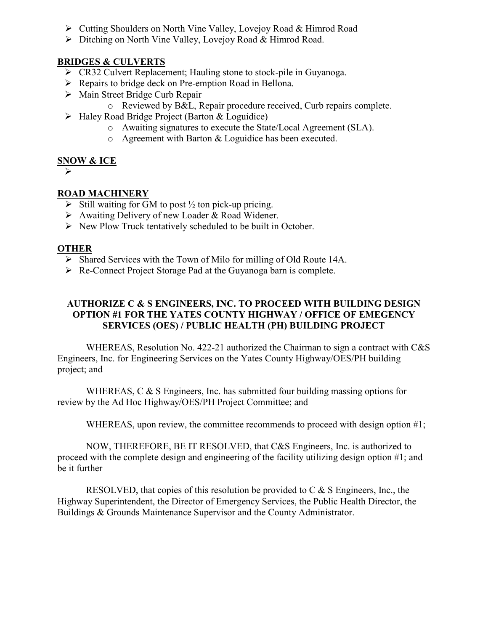- Cutting Shoulders on North Vine Valley, Lovejoy Road & Himrod Road
- Ditching on North Vine Valley, Lovejoy Road & Himrod Road.

#### **BRIDGES & CULVERTS**

- CR32 Culvert Replacement; Hauling stone to stock-pile in Guyanoga.
- $\triangleright$  Repairs to bridge deck on Pre-emption Road in Bellona.
- $\triangleright$  Main Street Bridge Curb Repair
	- o Reviewed by B&L, Repair procedure received, Curb repairs complete.
- Haley Road Bridge Project (Barton & Loguidice)
	- o Awaiting signatures to execute the State/Local Agreement (SLA).
	- o Agreement with Barton & Loguidice has been executed.

#### **SNOW & ICE**

 $\blacktriangleright$ 

# **ROAD MACHINERY**

- $\triangleright$  Still waiting for GM to post  $\frac{1}{2}$  ton pick-up pricing.
- Awaiting Delivery of new Loader & Road Widener.
- $\triangleright$  New Plow Truck tentatively scheduled to be built in October.

#### **OTHER**

- $\triangleright$  Shared Services with the Town of Milo for milling of Old Route 14A.
- $\triangleright$  Re-Connect Project Storage Pad at the Guyanoga barn is complete.

#### **AUTHORIZE C & S ENGINEERS, INC. TO PROCEED WITH BUILDING DESIGN OPTION #1 FOR THE YATES COUNTY HIGHWAY / OFFICE OF EMEGENCY SERVICES (OES) / PUBLIC HEALTH (PH) BUILDING PROJECT**

WHEREAS, Resolution No. 422-21 authorized the Chairman to sign a contract with C&S Engineers, Inc. for Engineering Services on the Yates County Highway/OES/PH building project; and

WHEREAS, C & S Engineers, Inc. has submitted four building massing options for review by the Ad Hoc Highway/OES/PH Project Committee; and

WHEREAS, upon review, the committee recommends to proceed with design option #1;

NOW, THEREFORE, BE IT RESOLVED, that C&S Engineers, Inc. is authorized to proceed with the complete design and engineering of the facility utilizing design option #1; and be it further

RESOLVED, that copies of this resolution be provided to C & S Engineers, Inc., the Highway Superintendent, the Director of Emergency Services, the Public Health Director, the Buildings & Grounds Maintenance Supervisor and the County Administrator.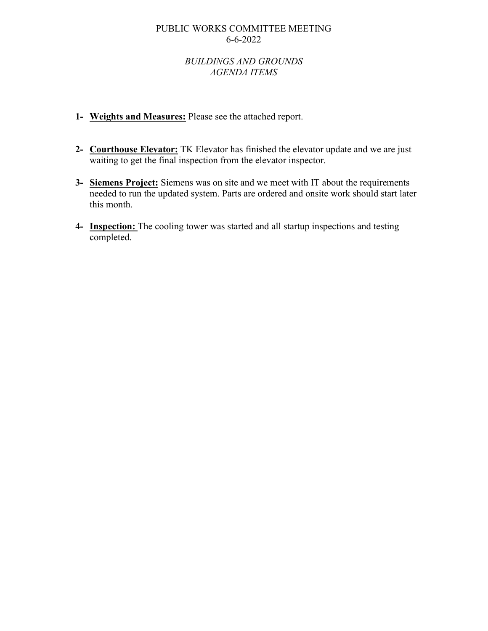#### PUBLIC WORKS COMMITTEE MEETING 6-6-2022

#### *BUILDINGS AND GROUNDS AGENDA ITEMS*

- **1- Weights and Measures:** Please see the attached report.
- **2- Courthouse Elevator:** TK Elevator has finished the elevator update and we are just waiting to get the final inspection from the elevator inspector.
- **3- Siemens Project:** Siemens was on site and we meet with IT about the requirements needed to run the updated system. Parts are ordered and onsite work should start later this month.
- **4- Inspection:** The cooling tower was started and all startup inspections and testing completed.